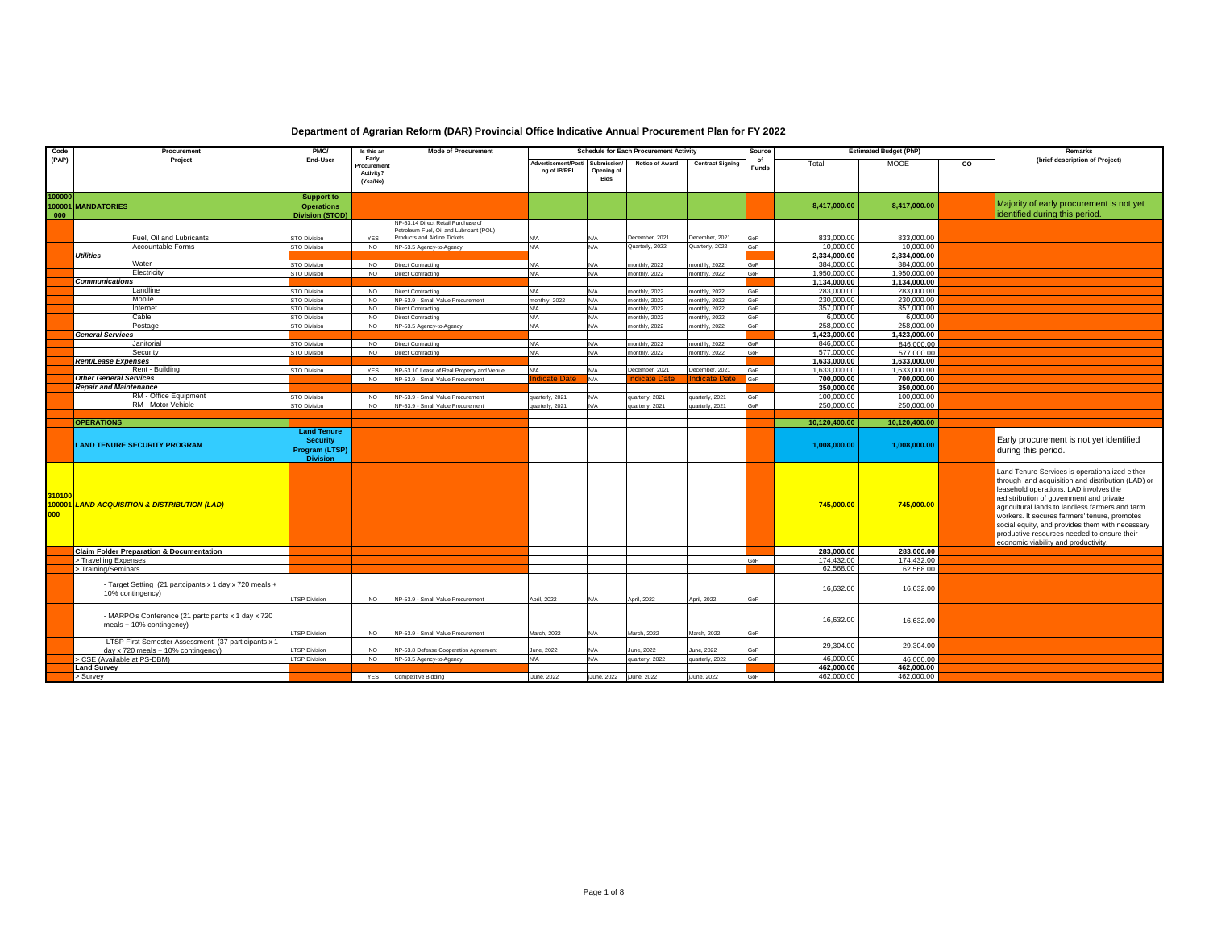| Code                    | Procurement                                                                                | PMO/                                                                       | Is this an                                          | <b>Mode of Procurement</b>                                              |                                     |                                   | <b>Schedule for Each Procurement Activity</b> |                                | Source             | <b>Estimated Budget (PhP)</b> |                          |    | Remarks                                                                                                                                                                                                                                                                                                                                                                                                                                 |
|-------------------------|--------------------------------------------------------------------------------------------|----------------------------------------------------------------------------|-----------------------------------------------------|-------------------------------------------------------------------------|-------------------------------------|-----------------------------------|-----------------------------------------------|--------------------------------|--------------------|-------------------------------|--------------------------|----|-----------------------------------------------------------------------------------------------------------------------------------------------------------------------------------------------------------------------------------------------------------------------------------------------------------------------------------------------------------------------------------------------------------------------------------------|
| (PAP)                   | Project                                                                                    | End-User                                                                   | Early<br><b>Procuremen</b><br>Activity?<br>(Yes/No) |                                                                         | Advertisement/Posti<br>ng of IB/REI | Submission/<br>Opening of<br>Bids | Notice of Award                               | <b>Contract Signing</b>        | of<br><b>Funds</b> | Total                         | <b>MOOE</b>              | CO | (brief description of Project)                                                                                                                                                                                                                                                                                                                                                                                                          |
| 100000<br>100001<br>000 | <b>MANDATORIES</b>                                                                         | <b>Support to</b><br><b>Operations</b><br>Division (STOD)                  |                                                     |                                                                         |                                     |                                   |                                               |                                |                    | 8,417,000.00                  | 8,417,000.00             |    | Majority of early procurement is not yet<br>identified during this period.                                                                                                                                                                                                                                                                                                                                                              |
|                         |                                                                                            |                                                                            |                                                     | VP-53.14 Direct Retail Purchase of                                      |                                     |                                   |                                               |                                |                    |                               |                          |    |                                                                                                                                                                                                                                                                                                                                                                                                                                         |
|                         | Fuel, Oil and Lubricants                                                                   | <b>STO Division</b>                                                        | <b>YES</b>                                          | Petroleum Fuel, Oil and Lubricant (POL)<br>Products and Airline Tickets | N/A                                 |                                   | December, 2021                                | December, 2021                 | <b>GOP</b>         | 833,000.00                    | 833,000.00               |    |                                                                                                                                                                                                                                                                                                                                                                                                                                         |
|                         | Accountable Forms                                                                          | <b>STO Division</b>                                                        | <b>NO</b>                                           | NP-53.5 Agency-to-Agency                                                | N/A                                 | N/A                               | Quarterly, 2022                               | Quarterly, 2022                | GoP                | 10,000.00                     | 10,000.00                |    |                                                                                                                                                                                                                                                                                                                                                                                                                                         |
|                         | <b>Utilities</b>                                                                           |                                                                            |                                                     |                                                                         |                                     |                                   |                                               |                                |                    | 2,334,000.00                  | 2,334,000.00             |    |                                                                                                                                                                                                                                                                                                                                                                                                                                         |
|                         | Water                                                                                      | STO Division                                                               | <b>NO</b>                                           | <b>irect Contracting</b>                                                | N/A                                 | N/A                               | nonthly, 2022                                 | nonthly, 2022                  | GoP                | 384,000.00                    | 384,000.00               |    |                                                                                                                                                                                                                                                                                                                                                                                                                                         |
|                         | Electricity                                                                                | STO Division                                                               | <b>NO</b>                                           | Virect Contracting                                                      | N/A                                 | N/A                               | nonthly, 2022                                 | monthly, 2022                  | GoP                | 1,950,000.0                   | 1,950,000.00             |    |                                                                                                                                                                                                                                                                                                                                                                                                                                         |
|                         | <b>Communications</b>                                                                      |                                                                            |                                                     |                                                                         |                                     |                                   |                                               |                                |                    | 1,134,000.00                  | 1,134,000.00             |    |                                                                                                                                                                                                                                                                                                                                                                                                                                         |
|                         | Landline                                                                                   | STO Division                                                               | <b>NO</b>                                           | lirect Contracting                                                      | N/A                                 | N/A                               | nonthly, 2022                                 | monthly, 2022                  | GoP                | 283,000.0                     | 283,000,00               |    |                                                                                                                                                                                                                                                                                                                                                                                                                                         |
|                         | Mobile                                                                                     | <b>STO Division</b>                                                        | NO.                                                 | VP-53.9 - Small Value Procurement                                       | monthly, 2022                       | N/A                               | onthly, 2022                                  | monthly, 2022                  | GoP                | 230,000.00                    | 230,000,00               |    |                                                                                                                                                                                                                                                                                                                                                                                                                                         |
|                         | Internet<br>Cable                                                                          | STO Division                                                               | <b>NO</b><br>NO.                                    | Virect Contracting                                                      | N/A<br>N/A                          | N/A<br>N/A                        | nonthly, 2022                                 | nonthly, 2022                  | GoP<br>GoP         | 357,000.00<br>6,000.00        | 357,000.00<br>6,000.00   |    |                                                                                                                                                                                                                                                                                                                                                                                                                                         |
|                         | Postage                                                                                    | <b>STO Division</b><br>STO Division                                        | <b>NO</b>                                           | irect Contracting<br>NP-53.5 Agency-to-Agency                           | N/A                                 | N/A                               | onthly, 2022<br>nonthly, 2022                 | nonthly, 2022<br>nonthly, 2022 | GoP                | 258,000.00                    | 258,000.00               |    |                                                                                                                                                                                                                                                                                                                                                                                                                                         |
|                         | <b>General Services</b>                                                                    |                                                                            |                                                     |                                                                         |                                     |                                   |                                               |                                |                    | 1,423,000.00                  | 1,423,000.00             |    |                                                                                                                                                                                                                                                                                                                                                                                                                                         |
|                         | Janitorial                                                                                 | STO Division                                                               | <b>NO</b>                                           | Virect Contracting                                                      | N/A                                 | N/A                               | nonthly, 2022                                 | nonthly, 2022                  | GoP                | 846,000.00                    | 846,000.00               |    |                                                                                                                                                                                                                                                                                                                                                                                                                                         |
|                         | Security                                                                                   | STO Division                                                               | NO                                                  | Direct Contracting                                                      | N/A                                 | N/A                               | nonthly, 2022                                 | monthly, 2022                  | GoP                | 577,000.00                    | 577,000.00               |    |                                                                                                                                                                                                                                                                                                                                                                                                                                         |
|                         | Rent/Lease Expenses                                                                        |                                                                            |                                                     |                                                                         |                                     |                                   |                                               |                                |                    | 1,633,000.00                  | 1,633,000.00             |    |                                                                                                                                                                                                                                                                                                                                                                                                                                         |
|                         | Rent - Building                                                                            | STO Division                                                               | <b>YES</b>                                          | VP-53.10 Lease of Real Property and Venue                               | N/A                                 | N/A                               | December, 2021                                | December, 2021                 | GoP                | 1.633.000.00                  | 1.633.000.00             |    |                                                                                                                                                                                                                                                                                                                                                                                                                                         |
|                         | <b>Other General Services</b>                                                              |                                                                            | NO.                                                 | NP-53.9 - Small Value Procurement                                       | idicate Da                          | N/A                               |                                               | <b>ndicate Date</b>            | GoP                | 700,000.00                    | 700,000.00               |    |                                                                                                                                                                                                                                                                                                                                                                                                                                         |
|                         | <b>Repair and Maintenance</b>                                                              |                                                                            |                                                     |                                                                         |                                     |                                   |                                               |                                |                    | 350,000.00                    | 350,000,00               |    |                                                                                                                                                                                                                                                                                                                                                                                                                                         |
|                         | RM - Office Equipment                                                                      | STO Division                                                               | <b>NO</b>                                           | NP-53.9 - Small Value Procurement                                       | quarterly, 2021                     | N/A                               | uarterly, 2021                                | quarterly, 2021                | GoP                | 100,000,00                    | 100,000,00               |    |                                                                                                                                                                                                                                                                                                                                                                                                                                         |
|                         | RM - Motor Vehicle                                                                         | STO Division                                                               | <b>NO</b>                                           | NP-53.9 - Small Value Procurement                                       | quarterly, 2021                     | N/A                               | uarterly, 2021                                | quarterly, 2021                | GoP                | 250,000.00                    | 250,000.00               |    |                                                                                                                                                                                                                                                                                                                                                                                                                                         |
|                         | <b>OPERATIONS</b>                                                                          |                                                                            |                                                     |                                                                         |                                     |                                   |                                               |                                |                    | 10,120,400.00                 | 10,120,400.00            |    |                                                                                                                                                                                                                                                                                                                                                                                                                                         |
|                         | <b>LAND TENURE SECURITY PROGRAM</b>                                                        | <b>Land Tenure</b><br><b>Security</b><br>Program (LTSP)<br><b>Division</b> |                                                     |                                                                         |                                     |                                   |                                               |                                |                    | 1,008,000.00                  | 1,008,000.00             |    | Early procurement is not yet identified<br>during this period.                                                                                                                                                                                                                                                                                                                                                                          |
| 310100<br>100001<br>000 | <b>LAND ACQUISITION &amp; DISTRIBUTION (LAD)</b>                                           |                                                                            |                                                     |                                                                         |                                     |                                   |                                               |                                |                    | 745,000.00<br>283,000.00      | 745,000.00<br>283.000.00 |    | and Tenure Services is operationalized either<br>through land acquisition and distribution (LAD) or<br>leasehold operations. LAD involves the<br>redistribution of government and private<br>agricultural lands to landless farmers and farm<br>workers. It secures farmers' tenure, promotes<br>social equity, and provides them with necessary<br>productive resources needed to ensure their<br>economic viability and productivity. |
|                         | <b>Claim Folder Preparation &amp; Documentation</b><br>> Travelling Expenses               |                                                                            |                                                     |                                                                         |                                     |                                   |                                               |                                | GoP                | 174,432.00                    | 174.432.00               |    |                                                                                                                                                                                                                                                                                                                                                                                                                                         |
|                         | > Training/Seminars                                                                        |                                                                            |                                                     |                                                                         |                                     |                                   |                                               |                                |                    | 62,568.00                     | 62,568.00                |    |                                                                                                                                                                                                                                                                                                                                                                                                                                         |
|                         |                                                                                            |                                                                            |                                                     |                                                                         |                                     |                                   |                                               |                                |                    |                               |                          |    |                                                                                                                                                                                                                                                                                                                                                                                                                                         |
|                         | - Target Setting (21 partcipants x 1 day x 720 meals +<br>10% contingency)                 | TSP Division                                                               | <b>NO</b>                                           | NP-53.9 - Small Value Procurement                                       | April, 2022                         | N/A                               | April, 2022                                   | April, 2022                    | GOP                | 16,632.00                     | 16,632.00                |    |                                                                                                                                                                                                                                                                                                                                                                                                                                         |
|                         | - MARPO's Conference (21 partcipants x 1 day x 720<br>meals + 10% contingency)             | <b>TSP Division</b>                                                        | NO.                                                 | NP-53.9 - Small Value Procurement                                       | March, 2022                         |                                   | Aarch, 2022                                   | March, 2022                    | <b>GP</b>          | 16,632.00                     | 16,632.00                |    |                                                                                                                                                                                                                                                                                                                                                                                                                                         |
|                         | -LTSP First Semester Assessment (37 participants x 1<br>day x 720 meals + 10% contingency) | TSP Division                                                               | <b>NO</b>                                           | NP-53.8 Defense Cooperation Agreement                                   | June, 2022                          | N/A                               | une, 2022                                     | June, 2022                     | GoP                | 29,304.00                     | 29,304.00                |    |                                                                                                                                                                                                                                                                                                                                                                                                                                         |
|                         | > CSE (Available at PS-DBM)                                                                | TSP Division                                                               | <b>NO</b>                                           | NP-53.5 Agency-to-Agency                                                | N/A                                 | N/A                               | uarterly, 2022                                | quarterly, 2022                | GoP                | 46,000.0                      | 46,000.00                |    |                                                                                                                                                                                                                                                                                                                                                                                                                                         |
|                         | <b>Land Survey</b>                                                                         |                                                                            |                                                     |                                                                         |                                     |                                   |                                               |                                |                    | 462.000.00                    | 462,000.00               |    |                                                                                                                                                                                                                                                                                                                                                                                                                                         |
|                         | Survey                                                                                     |                                                                            | YES                                                 | <b>Competitive Bidding</b>                                              | jJune, 2022                         | jJune, 2022                       | jJune, 2022                                   | jJune, 2022                    | GoP                | 462,000.00                    | 462,000.00               |    |                                                                                                                                                                                                                                                                                                                                                                                                                                         |

## **Department of Agrarian Reform (DAR) Provincial Office Indicative Annual Procurement Plan for FY 2022**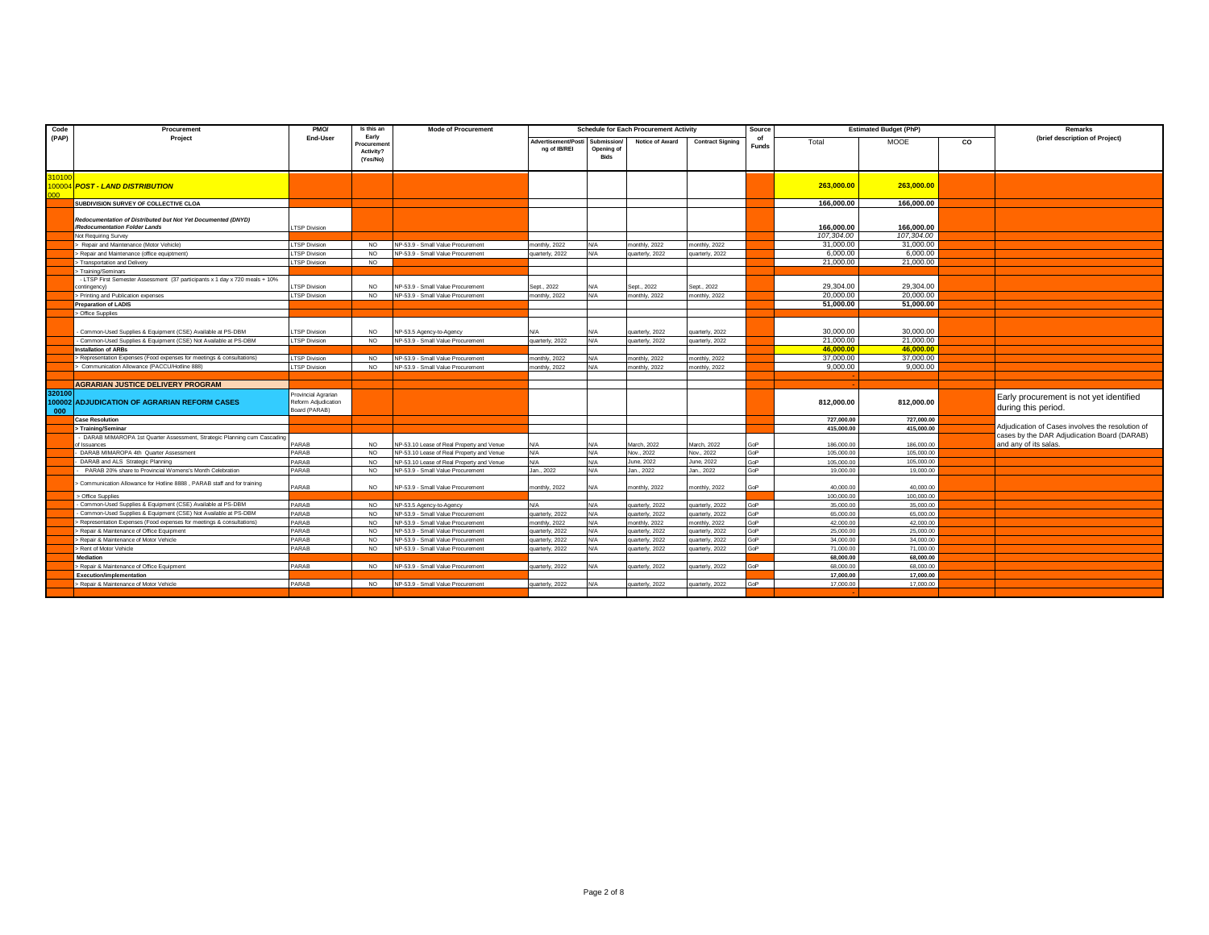| Code                    | Procurement                                                                                   | PMO/                                                       | Is this an                                   | <b>Mode of Procurement</b>                |                                     |                                          | <b>Schedule for Each Procurement Activity</b> |                         | Source       |                        | <b>Estimated Budget (PhP)</b> |           | Remarks                                                              |
|-------------------------|-----------------------------------------------------------------------------------------------|------------------------------------------------------------|----------------------------------------------|-------------------------------------------|-------------------------------------|------------------------------------------|-----------------------------------------------|-------------------------|--------------|------------------------|-------------------------------|-----------|----------------------------------------------------------------------|
| (PAP)                   | Project                                                                                       | End-User                                                   | Early<br>Procuremen<br>Activity?<br>(Yes/No) |                                           | Advertisement/Posti<br>ng of IB/REI | Submission/<br>Opening of<br><b>Bids</b> | Notice of Award                               | <b>Contract Signing</b> | <b>Funds</b> | Total                  | MOOE                          | <b>CO</b> | (brief description of Project)                                       |
| 200                     | 100004 POST - LAND DISTRIBUTION                                                               |                                                            |                                              |                                           |                                     |                                          |                                               |                         |              | 263,000.00             | 263,000.00                    |           |                                                                      |
|                         | SUBDIVISION SURVEY OF COLLECTIVE CLOA                                                         |                                                            |                                              |                                           |                                     |                                          |                                               |                         |              | 166,000.00             | 166,000.00                    |           |                                                                      |
|                         | Redocumentation of Distributed but Not Yet Documented (DNYD)<br>/Redocumentation Folder Lands | TSP Division                                               |                                              |                                           |                                     |                                          |                                               |                         |              | 166,000.00             | 166.000.00                    |           |                                                                      |
|                         | Not Requiring Survey                                                                          |                                                            |                                              |                                           |                                     |                                          |                                               |                         |              | 107,304.00             | 107.304.00                    |           |                                                                      |
|                         | > Repair and Maintenance (Motor Vehicle)                                                      | <b>TSP Division</b>                                        | NO.                                          | NP-53.9 - Small Value Procurement         | monthly, 2022                       | N/A                                      | monthly, 2022                                 | nonthly, 2022           |              | 31,000,00              | 31,000,00                     |           |                                                                      |
|                         | > Repair and Maintenance (office equiptment)                                                  | TSP Division                                               | <b>NO</b>                                    | NP-53.9 - Small Value Procurement         | quarterly, 2022                     | N/A                                      | quarterly, 2022                               | juarterly, 2022         |              | 6.000.00               | 6.000.00                      |           |                                                                      |
|                         | > Transportation and Delivery                                                                 | TSP Division                                               | <b>NO</b>                                    |                                           |                                     |                                          |                                               |                         |              | 21,000.00              | 21.000.00                     |           |                                                                      |
|                         | > Training/Seminars                                                                           |                                                            |                                              |                                           |                                     |                                          |                                               |                         |              |                        |                               |           |                                                                      |
|                         | - LTSP First Semester Assessment (37 participants x 1 day x 720 meals + 10%<br>contingency)   | TSP Division                                               | <b>NO</b>                                    | NP-53.9 - Small Value Procurement         | Sept., 2022                         |                                          | Sept., 2022                                   | Sept., 2022             |              | 29,304.00              | 29,304.00                     |           |                                                                      |
|                         | > Printing and Publication expenses                                                           | TSP Division                                               | <b>NO</b>                                    | NP-53.9 - Small Value Procurement         | monthly, 2022                       | N/A                                      | monthly, 2022                                 | monthly, 2022           |              | 20,000.00              | 20,000.00                     |           |                                                                      |
|                         | <b>Preparation of LADIS</b>                                                                   |                                                            |                                              |                                           |                                     |                                          |                                               |                         |              | 51.000.00              | 51.000.00                     |           |                                                                      |
|                         | > Office Supplies                                                                             |                                                            |                                              |                                           |                                     |                                          |                                               |                         |              |                        |                               |           |                                                                      |
|                         | - Common-Used Supplies & Equipment (CSE) Available at PS-DBM                                  | TSP Division                                               | NO.                                          | NP-53.5 Agency-to-Agency                  |                                     |                                          | quarterly, 2022                               | uarterly, 2022          |              | 30,000,00              | 30,000.00                     |           |                                                                      |
|                         | - Common-Used Supplies & Equipment (CSE) Not Available at PS-DBM                              | TSP Division                                               | <b>NO</b>                                    | NP-53.9 - Small Value Procurement         | quarterly, 2022                     | N/A                                      | quarterly, 2022                               | quarterly, 2022         |              | 21,000.00              | 21,000.00                     |           |                                                                      |
|                         | <b>Installation of ARBs</b>                                                                   |                                                            |                                              |                                           |                                     |                                          |                                               |                         |              | 46.000.00              | 46.000.00                     |           |                                                                      |
|                         | > Representation Expenses (Food expenses for meetings & consultations)                        | TSP Division                                               | NO.                                          | NP-53.9 - Small Value Procurement         | nonthly, 2022                       | N/A                                      | monthly, 2022                                 | monthly, 2022           |              | 37,000.00              | 37,000.00                     |           |                                                                      |
|                         | > Communication Allowance (PACCU/Hotline 888)                                                 | TSP Division                                               | NO.                                          | NP-53.9 - Small Value Procurement         | nonthly, 2022                       |                                          | monthly, 2022                                 | monthly, 2022           |              | 9.000.00               | 9,000.00                      |           |                                                                      |
|                         |                                                                                               |                                                            |                                              |                                           |                                     |                                          |                                               |                         |              |                        |                               |           |                                                                      |
|                         | <b>AGRARIAN JUSTICE DELIVERY PROGRAM</b>                                                      |                                                            |                                              |                                           |                                     |                                          |                                               |                         |              |                        |                               |           |                                                                      |
| 320100<br>100002<br>000 | <b>ADJUDICATION OF AGRARIAN REFORM CASES</b>                                                  | rovincial Agrarian<br>Reform Adjudication<br>Board (PARAB) |                                              |                                           |                                     |                                          |                                               |                         |              | 812,000.00             | 812,000.00                    |           | Early procurement is not yet identified<br>during this period.       |
|                         | <b>Case Resolution</b>                                                                        |                                                            |                                              |                                           |                                     |                                          |                                               |                         |              | 727,000.00             | 727,000.00                    |           |                                                                      |
|                         | > Training/Seminar                                                                            |                                                            |                                              |                                           |                                     |                                          |                                               |                         |              | 415,000,00             | 415.000.00                    |           | Adjudication of Cases involves the resolution of                     |
|                         | - DARAB MIMAROPA 1st Quarter Assessment, Strategic Planning cum Cascading<br>of Issuances     | PARAB                                                      | NO.                                          | NP-53.10 Lease of Real Property and Venue |                                     | N/A                                      | March, 2022                                   | March, 2022             | GoP          | 186,000.00             | 186,000.00                    |           | cases by the DAR Adjudication Board (DARAB)<br>and any of its salas. |
|                         | DARAB MIMAROPA 4th Quarter Assessment                                                         | PARAB                                                      | NO.                                          | NP-53.10 Lease of Real Property and Venue | N/A                                 | N/A                                      | Nov., 2022                                    | lov., 2022              | GoP          | 105,000.00             | 105.000.00                    |           |                                                                      |
|                         | DARAB and ALS Strategic Planning                                                              | PARAB                                                      | NO.                                          | NP-53.10 Lease of Real Property and Venue | N/A                                 | N/A                                      | June, 2022                                    | June, 2022              | GoP          | 105,000.00             | 105,000.00                    |           |                                                                      |
|                         | PARAB 20% share to Provincial Womens's Month Celebration                                      | PARAB                                                      | NO.                                          | NP-53.9 - Small Value Procurement         | Jan., 2022                          | N/A                                      | Jan., 2022                                    | Jan., 2022              | GoP          | 19,000.00              | 19,000.00                     |           |                                                                      |
|                         | > Communication Allowance for Hotline 8888, PARAB staff and for training                      | PARAB                                                      | NO.                                          | NP-53.9 - Small Value Procurement         | nonthly, 2022                       |                                          | monthly, 2022                                 | nonthly, 2022           | GoP          | 40,000.00              | 40,000.00                     |           |                                                                      |
|                         | > Office Supplies                                                                             |                                                            |                                              |                                           |                                     |                                          |                                               |                         |              | 100,000.00             | 100.000.00                    |           |                                                                      |
|                         | - Common-Used Supplies & Equipment (CSE) Available at PS-DBM                                  | PARAB                                                      | NO.                                          | NP-53.5 Agency-to-Agency                  | N/A                                 | N/A                                      | quarterly, 2022                               | uarterly, 2022          | GoP          | 35,000.00              | 35,000.00                     |           |                                                                      |
|                         | - Common-Used Supplies & Equipment (CSE) Not Available at PS-DBM                              | PARAB                                                      | NO.                                          | NP-53.9 - Small Value Procurement         | quarterly, 2022                     |                                          | quarterly, 2022                               | juarterly, 2022         | GoP          | 65,000.00              | 65,000.00                     |           |                                                                      |
|                         | > Representation Expenses (Food expenses for meetings & consultations                         | PARAB                                                      | NO.                                          | NP-53.9 - Small Value Procurement         | nonthly, 2022                       |                                          | monthly, 2022                                 | nonthly, 2022           | GoP          | 42,000.00              | 42.000.00                     |           |                                                                      |
|                         | > Repair & Maintenance of Office Equipment                                                    | PARAB                                                      | NO.                                          | NP-53.9 - Small Value Procurement         | quarterly, 2022                     | N/A                                      | quarterly, 2022                               | uarterly, 2022          | GoP          | 25,000.0               | 25,000.00                     |           |                                                                      |
|                         | > Repair & Maintenance of Motor Vehicle                                                       | PARAB                                                      | NO.                                          | NP-53.9 - Small Value Procurement         | quarterly, 2022                     | N/A                                      | quarterly, 2022                               | uarterly, 2022          | GoP          | 34,000.00              | 34,000.00                     |           |                                                                      |
|                         | > Rent of Motor Vehicle                                                                       | PARAB                                                      | NO.                                          | NP-53.9 - Small Value Procurement         | quarterly, 2022                     |                                          | quarterly, 2022                               | uarterly, 2022          | GoP          | 71,000.00              | 71,000.00                     |           |                                                                      |
|                         | <b>Mediation</b>                                                                              | PARAB                                                      |                                              |                                           |                                     |                                          |                                               |                         | GoP          | 68,000.00              | 68.000.00                     |           |                                                                      |
|                         | > Repair & Maintenance of Office Equipment                                                    |                                                            | <b>NO</b>                                    | NP-53.9 - Small Value Procurement         | quarterly, 2022                     | N/A                                      | quarterly, 2022                               | quarterly, 2022         |              | 68,000.00<br>17,000.00 | 68,000.00                     |           |                                                                      |
|                         | Execution/implementation<br>> Repair & Maintenance of Motor Vehicle                           | PARAB                                                      | <b>NO</b>                                    | NP-53.9 - Small Value Procurement         | quarterly, 2022                     |                                          | quarterly, 2022                               | uarterly, 2022          | GoP          | 17,000.00              | 17.000.00<br>17,000.00        |           |                                                                      |
|                         |                                                                                               |                                                            |                                              |                                           |                                     |                                          |                                               |                         |              |                        |                               |           |                                                                      |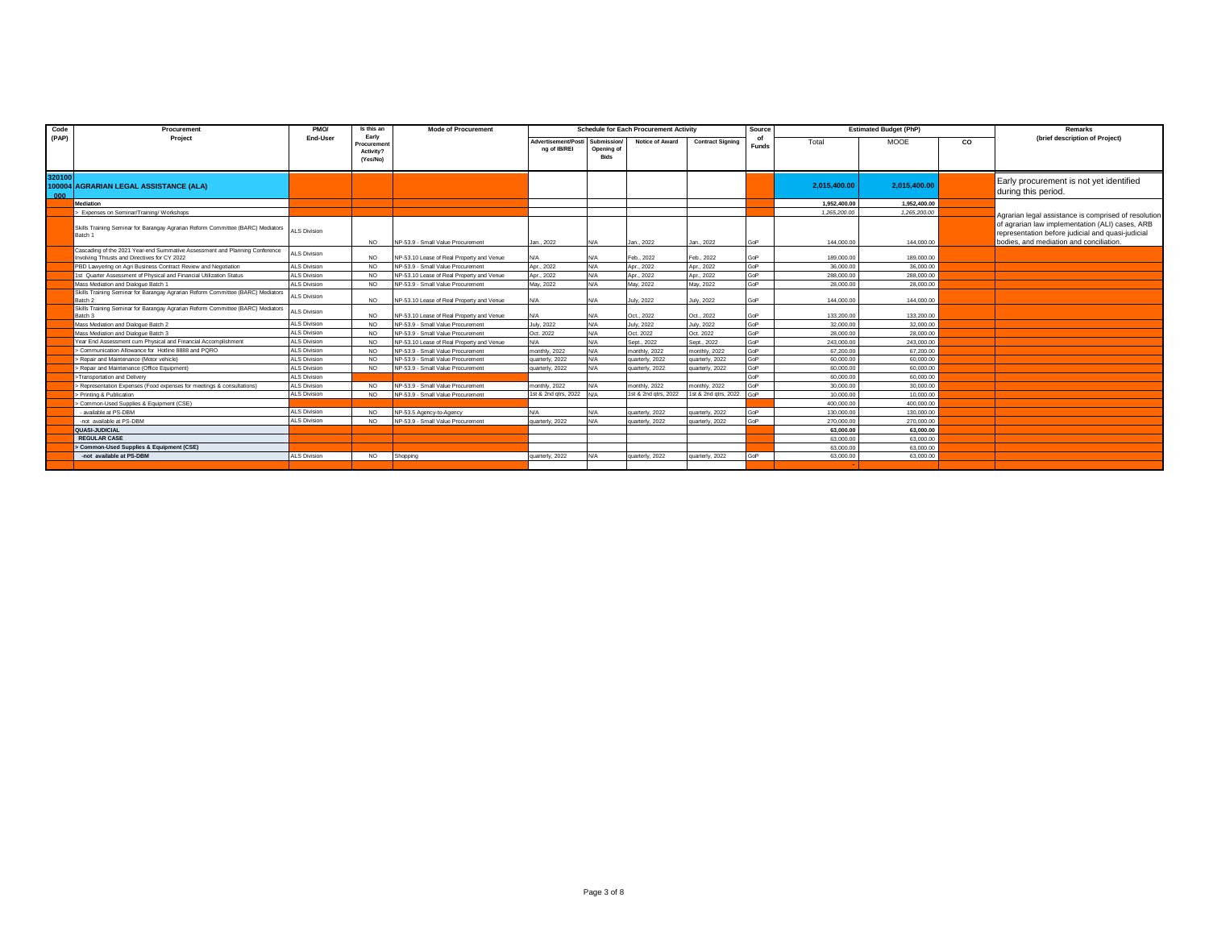| Code          | Procurement                                                                                                                 | PMO/                | Is this an                                   | <b>Mode of Procurement</b>                |                                     |                                          | <b>Schedule for Each Procurement Activity</b> |                         | <b>Estimated Budget (PhP)</b><br>Source |              |              |    | Remarks                                                                                                                                         |
|---------------|-----------------------------------------------------------------------------------------------------------------------------|---------------------|----------------------------------------------|-------------------------------------------|-------------------------------------|------------------------------------------|-----------------------------------------------|-------------------------|-----------------------------------------|--------------|--------------|----|-------------------------------------------------------------------------------------------------------------------------------------------------|
| (PAP)         | Project                                                                                                                     | End-User            | Early<br>Procuremer<br>Activity?<br>(Yes/No) |                                           | Advertisement/Posti<br>ng of IB/REI | Submission/<br>Opening of<br><b>Bids</b> | Notice of Award                               | <b>Contract Signing</b> | <b>Funds</b>                            | Total        | <b>MOOE</b>  | CO | (brief description of Project)                                                                                                                  |
| 320100<br>000 | 100004 AGRARIAN LEGAL ASSISTANCE (ALA)                                                                                      |                     |                                              |                                           |                                     |                                          |                                               |                         |                                         | 2,015,400.00 | 2.015.400.00 |    | Early procurement is not yet identified<br>during this period.                                                                                  |
|               | <b>Mediation</b>                                                                                                            |                     |                                              |                                           |                                     |                                          |                                               |                         |                                         | 1.952.400.00 | 1.952.400.00 |    |                                                                                                                                                 |
|               | > Expenses on Seminar/Training/ Workshops                                                                                   |                     |                                              |                                           |                                     |                                          |                                               |                         |                                         | 1,265,200.00 | 1,265,200.00 |    | Agrarian legal assistance is comprised of resolution                                                                                            |
|               | Skills Training Seminar for Barangay Agrarian Reform Committee (BARC) Mediators<br>Batch 1                                  | <b>ALS Division</b> | <b>NO</b>                                    | NP-53.9 - Small Value Procurement         | Jan., 2022                          | N/A                                      | Jan., 2022                                    | Jan., 2022              | GoP                                     | 144,000.00   | 144,000.00   |    | of agrarian law implementation (ALI) cases, ARB<br>representation before judicial and quasi-judicial<br>bodies, and mediation and conciliation. |
|               | Cascading of the 2021 Year-end Summative Assessment and Planning Conference<br>Involving Thrusts and Directives for CY 2022 | ALS Division        | NO.                                          | NP-53.10 Lease of Real Property and Venue |                                     |                                          | Feb., 2022                                    | Feb., 2022              | GoP                                     | 189,000.00   | 189,000.00   |    |                                                                                                                                                 |
|               | PBD Lawvering on Agri Business Contract Review and Negotiation                                                              | <b>ALS Division</b> | NO.                                          | NP-53.9 - Small Value Procurement         | Apr., 2022                          | N/A                                      | Apr., 2022                                    | Apr., 2022              | GoP                                     | 36,000.00    | 36,000.00    |    |                                                                                                                                                 |
|               | 1st Quarter Assessment of Physical and Financial Utilization Status                                                         | <b>ALS Division</b> | <b>NO</b>                                    | NP-53.10 Lease of Real Property and Venue | Apr., 2022                          | N/A                                      | Apr., 2022                                    | Apr., 2022              | GoP                                     | 288,000.00   | 288,000.00   |    |                                                                                                                                                 |
|               | Mass Mediation and Dialogue Batch 1                                                                                         | <b>ALS Division</b> | NO.                                          | NP-53.9 - Small Value Procurement         | May 2022                            | N/A                                      | Mav. 2022                                     | Mav. 2022               | GoP                                     | 28,000.00    | 28,000.00    |    |                                                                                                                                                 |
|               | Skills Training Seminar for Barangay Agrarian Reform Committee (BARC) Mediators<br>Batch 2                                  | <b>ALS Division</b> | <b>NO</b>                                    | NP-53.10 Lease of Real Property and Venue |                                     | N/A                                      | July, 2022                                    | <b>July, 2022</b>       | GoP                                     | 144,000.00   | 144,000.00   |    |                                                                                                                                                 |
|               | Skills Training Seminar for Barangay Agrarian Reform Committee (BARC) Mediators<br>Batch 3                                  | <b>ALS Division</b> | <b>NO</b>                                    | NP-53.10 Lease of Real Property and Venue |                                     | N/A                                      | Oct., 2022                                    | Oct., 2022              | GoP                                     | 133,200.00   | 133,200.00   |    |                                                                                                                                                 |
|               | Mass Mediation and Dialogue Batch 2                                                                                         | <b>ALS Division</b> | <b>NO</b>                                    | NP-53.9 - Small Value Procurement         | <b>July</b> , 2022                  | N/A                                      | <b>July, 2022</b>                             | <b>July, 2022</b>       | GoP                                     | 32,000.00    | 32,000.00    |    |                                                                                                                                                 |
|               | Mass Mediation and Dialogue Batch 3                                                                                         | <b>ALS Division</b> | <b>NO</b>                                    | NP-53.9 - Small Value Procurement         | Oct. 2022                           | N/A                                      | Oct. 2022                                     | Oct. 2022               | GoP                                     | 28,000.00    | 28,000.00    |    |                                                                                                                                                 |
|               | Year End Assessment cum Physical and Financial Accomplishment                                                               | <b>ALS Division</b> | NO.                                          | NP-53.10 Lease of Real Property and Venue | N/A                                 | N/A                                      | Sept., 2022                                   | Sept., 2022             | GoP                                     | 243,000.00   | 243,000.00   |    |                                                                                                                                                 |
|               | > Communication Allowance for Hotline 8888 and PQRO                                                                         | <b>ALS Division</b> | NO.                                          | NP-53.9 - Small Value Procurement         | monthly, 2022                       | N/A                                      | monthly, 2022                                 | monthly, 2022           | GoP                                     | 67,200.00    | 67,200.00    |    |                                                                                                                                                 |
|               | > Repair and Maintenance (Motor vehicle)                                                                                    | <b>ALS Division</b> | NO.                                          | NP-53.9 - Small Value Procurement         | quarterly, 2022                     | N/A                                      | quarterly, 2022                               | quarterly, 2022         | GoP                                     | 60,000.00    | 60,000.00    |    |                                                                                                                                                 |
|               | > Repair and Maintenance (Office Equipment)                                                                                 | <b>ALS Division</b> | NO.                                          | NP-53.9 - Small Value Procurement         | quarterly, 2022                     | N/A                                      | quarterly, 2022                               | quarterly, 2022         | GoP                                     | 60,000.00    | 60,000.00    |    |                                                                                                                                                 |
|               | >Transportation and Delivery                                                                                                | <b>ALS Division</b> |                                              |                                           |                                     |                                          |                                               |                         | GoP                                     | 60,000.00    | 60,000.00    |    |                                                                                                                                                 |
|               | > Representation Expenses (Food expenses for meetings & consultations)                                                      | <b>ALS Division</b> | NO.                                          | NP-53.9 - Small Value Procurement         | monthly, 2022                       | <b>V/A</b>                               | monthly, 2022                                 | monthly, 2022           | GoP                                     | 30,000.00    | 30,000.00    |    |                                                                                                                                                 |
|               | > Printing & Publication                                                                                                    | <b>ALS Division</b> | NO.                                          | NP-53.9 - Small Value Procurement         | 1st & 2nd atrs. 2022                |                                          | 1st & 2nd gtrs, 2022                          | 1st & 2nd gtrs, 2022    | GoP                                     | 10,000.00    | 10,000.00    |    |                                                                                                                                                 |
|               | > Common-Used Supplies & Equipment (CSE)                                                                                    |                     |                                              |                                           |                                     |                                          |                                               |                         |                                         | 400,000.00   | 400,000.00   |    |                                                                                                                                                 |
|               | - available at PS-DBM                                                                                                       | <b>ALS Division</b> | <b>NO</b>                                    | NP-53.5 Agency-to-Agency                  | $N/\Delta$                          | N/A                                      | quarterly, 2022                               | quarterly, 2022         | GoP                                     | 130,000.00   | 130,000.00   |    |                                                                                                                                                 |
|               | -not available at PS-DBM                                                                                                    | <b>ALS Division</b> | <b>NO</b>                                    | NP-53.9 - Small Value Procurement         | quarterly, 2022                     |                                          | quarterly, 2022                               | quarterly, 2022         | GoP                                     | 270,000.0    | 270,000.00   |    |                                                                                                                                                 |
|               | QUASI-JUDICIAL                                                                                                              |                     |                                              |                                           |                                     |                                          |                                               |                         |                                         | 63,000.00    | 63.000.00    |    |                                                                                                                                                 |
|               | <b>REGULAR CASE</b>                                                                                                         |                     |                                              |                                           |                                     |                                          |                                               |                         |                                         | 63,000.00    | 63,000.00    |    |                                                                                                                                                 |
|               | Common-Used Supplies & Equipment (CSE)                                                                                      |                     |                                              |                                           |                                     |                                          |                                               |                         |                                         | 63,000.00    | 63,000.00    |    |                                                                                                                                                 |
|               | -not available at PS-DBM                                                                                                    | <b>ALS Division</b> | <b>NO</b>                                    | Shopping                                  | quarterly, 2022                     | N/A                                      | quarterly, 2022                               | quarterly, 2022         | GoP                                     | 63,000.00    | 63,000.00    |    |                                                                                                                                                 |
|               |                                                                                                                             |                     |                                              |                                           |                                     |                                          |                                               |                         |                                         |              |              |    |                                                                                                                                                 |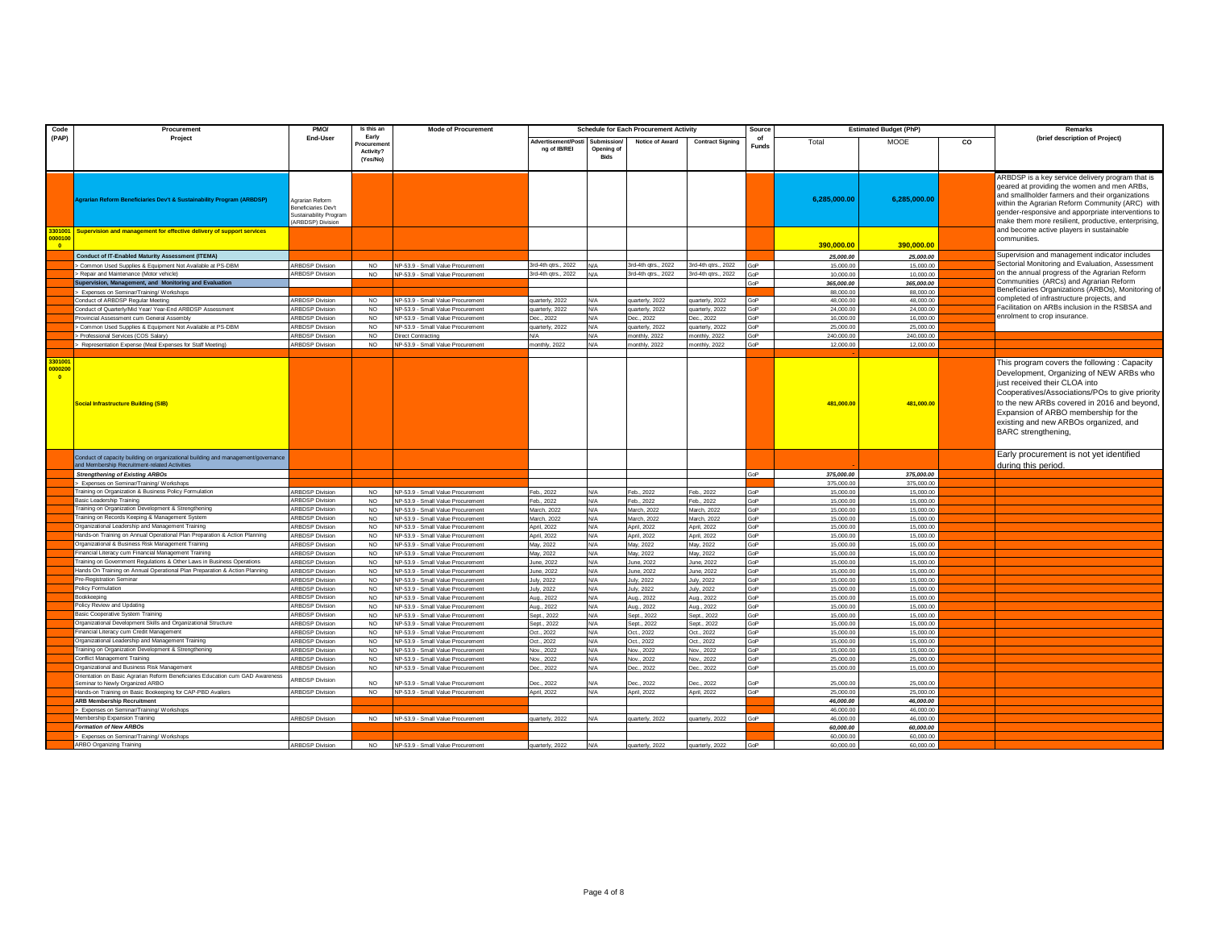| Code                                | Procurement                                                                                                                        | PMO/                                                                    | Is this an             | <b>Mode of Procurement</b>                                             |                               |                           | <b>Schedule for Each Procurement Activity</b> |                            | Source            | <b>Estimated Budget (PhP)</b> |                        | Remarks |                                                                                                                                                                                                                                                                                                                                  |
|-------------------------------------|------------------------------------------------------------------------------------------------------------------------------------|-------------------------------------------------------------------------|------------------------|------------------------------------------------------------------------|-------------------------------|---------------------------|-----------------------------------------------|----------------------------|-------------------|-------------------------------|------------------------|---------|----------------------------------------------------------------------------------------------------------------------------------------------------------------------------------------------------------------------------------------------------------------------------------------------------------------------------------|
| (PAP)                               | Project                                                                                                                            | End-User                                                                | Early<br>Procuremen    |                                                                        | Advertisement/Post            |                           | Notice of Award                               | <b>Contract Signing</b>    | of<br>Funds       | Total                         | MOOE                   | co      | (brief description of Project)                                                                                                                                                                                                                                                                                                   |
|                                     |                                                                                                                                    |                                                                         | Activity?<br>(Yes/No)  |                                                                        | ng of IB/REI                  | Opening of<br><b>Bids</b> |                                               |                            |                   |                               |                        |         |                                                                                                                                                                                                                                                                                                                                  |
|                                     |                                                                                                                                    |                                                                         |                        |                                                                        |                               |                           |                                               |                            |                   |                               |                        |         |                                                                                                                                                                                                                                                                                                                                  |
|                                     | <b>Igrarian Reform Beneficiaries Dev't &amp; Sustainability Program (ARBDSP)</b>                                                   | Agrarian Reform<br><b>Beneficiaries Dev't</b><br>Sustainability Program |                        |                                                                        |                               |                           |                                               |                            |                   | 6,285,000.00                  | 6,285,000.00           |         | ARBDSP is a key service delivery program that is<br>geared at providing the women and men ARBs,<br>and smallholder farmers and their organizations<br>within the Agrarian Reform Community (ARC) with<br>gender-responsive and apporpriate interventions to                                                                      |
| 301001                              | Supervision and management for effective delivery of support services                                                              | ARBDSP) Division                                                        |                        |                                                                        |                               |                           |                                               |                            |                   |                               |                        |         | make them more resilient, productive, enterprising,<br>and become active players in sustainable                                                                                                                                                                                                                                  |
| 00010                               |                                                                                                                                    |                                                                         |                        |                                                                        |                               |                           |                                               |                            |                   |                               |                        |         | communities.                                                                                                                                                                                                                                                                                                                     |
| <b>DO</b>                           |                                                                                                                                    |                                                                         |                        |                                                                        |                               |                           |                                               |                            |                   | 390.000.00                    | 390.000.00             |         |                                                                                                                                                                                                                                                                                                                                  |
|                                     | Conduct of IT-Enabled Maturity Assessment (ITEMA)                                                                                  |                                                                         | NO.                    |                                                                        | 3rd-4th qtrs., 2022           | N/A                       | 3rd-4th gtrs., 2022                           | 3rd-4th qtrs., 2022        | GoP               | 25,000.00<br>15,000.00        | 25,000.00<br>15,000.00 |         | Supervision and management indicator includes<br>Sectorial Monitoring and Evaluation, Assessment                                                                                                                                                                                                                                 |
|                                     | > Common Used Supplies & Equipment Not Available at PS-DBM<br>> Repair and Maintenance (Motor vehicle)                             | <b>ARBDSP Division</b><br><b>ARBDSP Division</b>                        | <b>NO</b>              | NP-53.9 - Small Value Procurement<br>NP-53.9 - Small Value Procurement | 3rd-4th qtrs., 2022           | N/A                       | 3rd-4th qtrs., 2022                           | 3rd-4th qtrs., 2022        | GoP               | 10,000.00                     | 10,000.00              |         | on the annual progress of the Agrarian Reform                                                                                                                                                                                                                                                                                    |
|                                     | Supervision, Management, and Monitoring and Evaluation                                                                             |                                                                         |                        |                                                                        |                               |                           |                                               |                            | <b>GoP</b>        | 365.000.00                    | 365,000.00             |         | Communities (ARCs) and Agrarian Reform                                                                                                                                                                                                                                                                                           |
|                                     | > Expenses on Seminar/Training/ Workshops                                                                                          |                                                                         |                        |                                                                        |                               |                           |                                               |                            |                   | 88,000.00                     | 88,000.00              |         | Beneficiaries Organizations (ARBOs), Monitoring of                                                                                                                                                                                                                                                                               |
|                                     | Conduct of ARBDSP Regular Meeting                                                                                                  | <b>ARBDSP Division</b>                                                  | <b>NO</b>              | NP-53.9 - Small Value Procurement                                      | quarterly, 2022               | N/A                       | quarterly, 2022                               | uarterly, 2022             | <b>GP</b>         | 48,000.00                     | 48,000.00              |         | completed of infrastructure projects, and                                                                                                                                                                                                                                                                                        |
|                                     | Conduct of Quarterly/Mid Year/ Year-End ARBDSP Assessment                                                                          | <b>ARBDSP Division</b>                                                  | NO                     | NP-53.9 - Small Value Procurement                                      | quarterly, 2022               | N/A                       | uarterly, 2022                                | uarterly, 2022             | GOP               | 24,000.00                     | 24,000.00              |         | Facilitation on ARBs inclusion in the RSBSA and<br>enrolment to crop insurance.                                                                                                                                                                                                                                                  |
|                                     | Provincial Assessment cum General Assembly<br>> Common Used Supplies & Equipment Not Available at PS-DBM                           | <b>RBDSP Division</b><br>RBDSP Division                                 | <b>NO</b><br>NO        | NP-53.9 - Small Value Procurement<br>NP-53.9 - Small Value Procurement | Dec., 2022<br>quarterly, 2022 | N/A<br>N/A                | Dec., 2022<br>quarterly, 2022                 | ec., 2022<br>uarterly 2022 | oP<br>۹oP         | 16,000.00<br>25,000.00        | 16,000.00<br>25,000.00 |         |                                                                                                                                                                                                                                                                                                                                  |
|                                     | > Professional Services (COS Salary)                                                                                               | <b>ARBDSP Division</b>                                                  | <b>NO</b>              | Direct Contracting                                                     | N/A                           | N/A                       | monthly, 2022                                 | nonthly, 2022              | GoP               | 240,000.00                    | 240.000.00             |         |                                                                                                                                                                                                                                                                                                                                  |
|                                     | > Representation Expense (Meal Expenses for Staff Meeting)                                                                         | <b>ARBDSP Division</b>                                                  | <b>NO</b>              | NP-53.9 - Small Value Procurement                                      | monthly, 2022                 | N/A                       | monthly, 2022                                 | nonthly, 2022              | GoP               | 12,000.00                     | 12,000.00              |         |                                                                                                                                                                                                                                                                                                                                  |
|                                     |                                                                                                                                    |                                                                         |                        |                                                                        |                               |                           |                                               |                            |                   |                               |                        |         |                                                                                                                                                                                                                                                                                                                                  |
| 330100<br>0000200<br>$\overline{0}$ | <b>Social Infrastructure Building (SIB)</b>                                                                                        |                                                                         |                        |                                                                        |                               |                           |                                               |                            |                   | 481,000.00                    | 481,000.00             |         | This program covers the following: Capacity<br>Development, Organizing of NEW ARBs who<br>just received their CLOA into<br>Cooperatives/Associations/POs to give priority<br>to the new ARBs covered in 2016 and beyond,<br>Expansion of ARBO membership for the<br>existing and new ARBOs organized, and<br>BARC strengthening, |
|                                     | Conduct of capacity building on organizational building and management/governance<br>and Membership Recruitment-related Activities |                                                                         |                        |                                                                        |                               |                           |                                               |                            |                   |                               |                        |         | Early procurement is not yet identified<br>during this period.                                                                                                                                                                                                                                                                   |
|                                     | <b>Strengthening of Existing ARBOs</b>                                                                                             |                                                                         |                        |                                                                        |                               |                           |                                               |                            | GoP               | 375,000.00                    | 375,000.00             |         |                                                                                                                                                                                                                                                                                                                                  |
|                                     | > Expenses on Seminar/Training/ Workshops                                                                                          |                                                                         |                        |                                                                        |                               |                           |                                               |                            |                   | 375,000.00                    | 375,000.00             |         |                                                                                                                                                                                                                                                                                                                                  |
|                                     | Fraining on Organization & Business Policy Formulation<br>Basic Leadership Training                                                | <b>ARBDSP Division</b><br>RBDSP Division                                | NO.<br>NO.             | NP-53.9 - Small Value Procurement<br>NP-53.9 - Small Value Procurement | Feb., 2022<br>Feb., 2022      | N/A<br>N/A                | Feb., 2022<br>Feb., 2022                      | Feb., 2022<br>Feb., 2022   | <b>GOP</b><br>GoP | 15,000.00<br>15,000.00        | 15,000.00<br>15,000.00 |         |                                                                                                                                                                                                                                                                                                                                  |
|                                     | raining on Organization Development & Strengthening                                                                                | RBDSP Division                                                          | N <sub>O</sub>         | NP-53.9 - Small Value Procurement                                      | March, 2022                   | N/A                       | March, 2022                                   | farch, 2022                | ۹oP               | 15.000.0                      | 15,000.00              |         |                                                                                                                                                                                                                                                                                                                                  |
|                                     | Fraining on Records Keeping & Management System                                                                                    | <b>ARBDSP Division</b>                                                  | NO.                    | NP-53.9 - Small Value Procurement                                      | March, 2022                   | N/A                       | March, 2022                                   | March 2022                 | SoP               | 15,000.00                     | 15,000.00              |         |                                                                                                                                                                                                                                                                                                                                  |
|                                     | Organizational Leadership and Management Training                                                                                  | <b>ARBDSP Division</b>                                                  | <b>NO</b>              | NP-53.9 - Small Value Procurement                                      | April, 2022                   | N/A                       | April, 2022                                   | April, 2022                | SoP               | 15,000.00                     | 15,000.00              |         |                                                                                                                                                                                                                                                                                                                                  |
|                                     | Hands-on Training on Annual Operational Plan Preparation & Action Planning                                                         | <b>ARBDSP Division</b>                                                  | <b>NO</b>              | NP-53.9 - Small Value Procurement                                      | April, 2022                   | N/A                       | April, 2022                                   | April, 2022                | <b>GoP</b>        | 15,000.00                     | 15,000.00              |         |                                                                                                                                                                                                                                                                                                                                  |
|                                     | Organizational & Business Risk Management Training                                                                                 | <b>ARBDSP Division</b>                                                  | <b>NO</b>              | NP-53.9 - Small Value Procurement                                      | May, 2022                     | N/A                       | May, 2022                                     | May, 2022                  | ioP               | 15,000.00                     | 15,000.00              |         |                                                                                                                                                                                                                                                                                                                                  |
|                                     | Financial Literacy cum Financial Management Training<br>Fraining on Government Regulations & Other Laws in Business Operations     | <b>RBDSP Division</b><br><b>ARBDSP Division</b>                         | NO                     | IP-53.9 - Small Value Procurement<br>NP-53 9 - Small Value Procurement | May, 2022                     | N/A                       | May, 2022                                     | May, 2022                  | <b>Goi</b>        | 15,000.00<br>15,000.00        | 15,000.00<br>15,000.00 |         |                                                                                                                                                                                                                                                                                                                                  |
|                                     | Hands On Training on Annual Operational Plan Preparation & Action Planning                                                         | <b>ARBDSP Division</b>                                                  | NO.<br><b>NO</b>       | NP-53.9 - Small Value Procurement                                      | June, 2022<br>June, 2022      | N/A<br>N/A                | June, 2022<br>June, 2022                      | June, 2022<br>June, 2022   | GoP<br>GoP        | 15,000.00                     | 15,000.00              |         |                                                                                                                                                                                                                                                                                                                                  |
|                                     | Pre-Registration Seminar                                                                                                           | <b>ARBDSP Division</b>                                                  | <b>NO</b>              | NP-53.9 - Small Value Procurement                                      | <b>July</b> , 2022            | N/A                       | <b>July, 2022</b>                             | <b>July</b> , 2022         | GoP               | 15,000.00                     | 15,000.00              |         |                                                                                                                                                                                                                                                                                                                                  |
|                                     | Policy Formulation                                                                                                                 | <b>ARBDSP Division</b>                                                  | NO.                    | NP-53.9 - Small Value Procurement                                      | <b>July</b> , 2022            | N/A                       | <b>July, 2022</b>                             | <b>July, 2022</b>          | GoP               | 15,000.00                     | 15,000.00              |         |                                                                                                                                                                                                                                                                                                                                  |
|                                     | Bookkeeping                                                                                                                        | RBDSP Division                                                          | NO <sub>1</sub>        | VP-53.9 - Small Value Procurement                                      | Aug., 2022                    | N/A                       | Aug., 2022                                    | Aug., 2022                 | ۹oP               | 15,000.0                      | 15,000.00              |         |                                                                                                                                                                                                                                                                                                                                  |
|                                     | Policy Review and Updating                                                                                                         | <b>RBDSP Division</b>                                                   | NO.                    | VP-53.9 - Small Value Procurement                                      | Aug., 2022                    | N/A                       | Aug., 2022                                    | Aug., 2022                 | <b>GoP</b>        | 15,000.0                      | 15,000.00              |         |                                                                                                                                                                                                                                                                                                                                  |
|                                     | Basic Cooperative System Training<br>Organizational Development Skills and Organizational Structure                                | <b>ARBDSP Division</b>                                                  | <b>NO</b>              | NP-53.9 - Small Value Procurement                                      | Sept., 2022                   | N/A                       | Sept., 2022                                   | Sept., 2022                | GoP               | 15,000.0                      | 15,000.00              |         |                                                                                                                                                                                                                                                                                                                                  |
|                                     | Financial Literacy cum Credit Management                                                                                           | <b>ARBDSP Division</b><br><b>ARBDSP Division</b>                        | <b>NO</b><br><b>NO</b> | NP-53.9 - Small Value Procurement<br>NP-53.9 - Small Value Procurement | Sept., 2022<br>Oct., 2022     | N/A<br>N/A                | Sept., 2022<br>Oct., 2022                     | Sept., 2022<br>Oct., 2022  | SoP<br>۹oP        | 15,000.00<br>15,000.0         | 15,000.00<br>15,000.00 |         |                                                                                                                                                                                                                                                                                                                                  |
|                                     | Organizational Leadership and Management Training                                                                                  | <b>RBDSP Division</b>                                                   | NO.                    | IP-53.9 - Small Value Procurement                                      | Oct., 2022                    | N/A                       | Oct., 2022                                    | ot., 2022                  | <b>Goi</b>        | 15.000.0                      | 15,000.00              |         |                                                                                                                                                                                                                                                                                                                                  |
|                                     | raining on Organization Development & Strengthening                                                                                | RBDSP Division                                                          | NO.                    | VP-53.9 - Small Value Procurement                                      | Nov., 2022                    | N/A                       | Nov., 2022                                    | lov., 2022                 | ioP               | 15,000.00                     | 15,000.00              |         |                                                                                                                                                                                                                                                                                                                                  |
|                                     | Conflict Management Training                                                                                                       | <b>ARBDSP Division</b>                                                  | <b>NO</b>              | NP-53.9 - Small Value Procurement                                      | Nov., 2022                    | N/A                       | Nov., 2022                                    | Nov., 2022                 | GoP               | 25,000.00                     | 25,000.00              |         |                                                                                                                                                                                                                                                                                                                                  |
|                                     | Organizational and Business Risk Management                                                                                        | <b>ARBDSP Division</b>                                                  | <b>NO</b>              | NP-53.9 - Small Value Procurement                                      | Dec., 2022                    | N/A                       | Dec., 2022                                    | Dec., 2022                 | GoP               | 15,000.00                     | 15,000.00              |         |                                                                                                                                                                                                                                                                                                                                  |
|                                     | Orientation on Basic Agrarian Reform Beneficiaries Education cum GAD Awareness                                                     | <b>ARBDSP Division</b>                                                  | NO.                    |                                                                        | ec. 2022                      |                           | ec. 2022                                      | ec. 2022                   |                   |                               | 25,000.00              |         |                                                                                                                                                                                                                                                                                                                                  |
|                                     | eminar to Newly Organized ARBO<br>lands-on Training on Basic Bookeeping for CAP-PBD Availers                                       | RBDSP Division                                                          | NO                     | P-53.9 - Small Value Procurement<br>NP-53.9 - Small Value Procurement  | April, 2022                   | N/A                       | April, 2022                                   | April, 2022                | ۹oP               | 25,000.00<br>25,000.00        | 25.000.00              |         |                                                                                                                                                                                                                                                                                                                                  |
|                                     | <b>ARB Membership Recruitment</b>                                                                                                  |                                                                         |                        |                                                                        |                               |                           |                                               |                            |                   | 46,000.00                     | 46,000.00              |         |                                                                                                                                                                                                                                                                                                                                  |
|                                     | > Expenses on Seminar/Training/ Workshops                                                                                          |                                                                         |                        |                                                                        |                               |                           |                                               |                            |                   | 46,000.00                     | 46,000.00              |         |                                                                                                                                                                                                                                                                                                                                  |
|                                     | Membership Expansion Training                                                                                                      | <b>ARBDSP Division</b>                                                  | <b>NO</b>              | NP-53.9 - Small Value Procurement                                      | quarterly, 2022               | N/A                       | quarterly, 2022                               | juarterly, 2022            | GoP               | 46,000.00                     | 46,000.00              |         |                                                                                                                                                                                                                                                                                                                                  |
|                                     | Formation of New ARBOs                                                                                                             |                                                                         |                        |                                                                        |                               |                           |                                               |                            |                   | 60,000.00                     | 60,000.00              |         |                                                                                                                                                                                                                                                                                                                                  |
|                                     | Expenses on Seminar/Training/ Workshops                                                                                            |                                                                         |                        |                                                                        |                               |                           |                                               |                            |                   | 60,000.0                      | 60,000.00              |         |                                                                                                                                                                                                                                                                                                                                  |
|                                     | ARBO Organizing Training                                                                                                           | <b>ARBDSP Division</b>                                                  | <b>NO</b>              | NP-53.9 - Small Value Procurement                                      | quarterly, 2022               | N/A                       | quarterly, 2022                               | quarterly 2022             | SoP               | 60,000.00                     | 60,000.00              |         |                                                                                                                                                                                                                                                                                                                                  |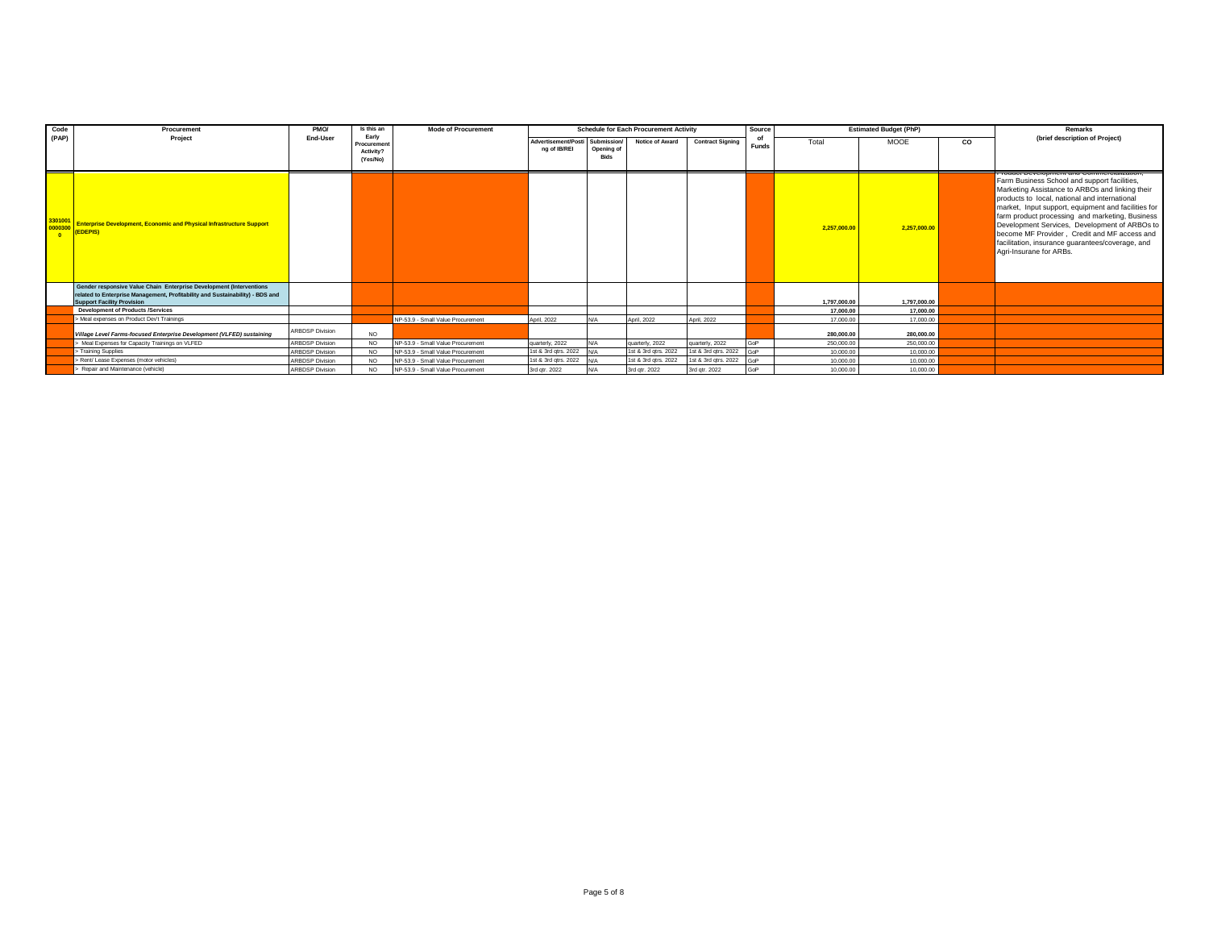| Code  | Procurement                                                                                                                                                                               | PMO/                   | Is this an                                   | <b>Mode of Procurement</b>        |                                                 |                           | <b>Schedule for Each Procurement Activity</b> |                         | Source             |              | <b>Estimated Budget (PhP)</b> |    | Remarks                                                                                                                                                                                                                                                                                                                                                                                                                                                                                  |
|-------|-------------------------------------------------------------------------------------------------------------------------------------------------------------------------------------------|------------------------|----------------------------------------------|-----------------------------------|-------------------------------------------------|---------------------------|-----------------------------------------------|-------------------------|--------------------|--------------|-------------------------------|----|------------------------------------------------------------------------------------------------------------------------------------------------------------------------------------------------------------------------------------------------------------------------------------------------------------------------------------------------------------------------------------------------------------------------------------------------------------------------------------------|
| (PAP) | Project                                                                                                                                                                                   | End-User               | Early<br>Procuremen<br>Activity?<br>(Yes/No) |                                   | Advertisement/Posti Submission/<br>na of IB/REI | Opening of<br><b>Bids</b> | Notice of Award                               | <b>Contract Signing</b> | of<br><b>Funds</b> | Total        | <b>MOOE</b>                   | CO | (brief description of Project)                                                                                                                                                                                                                                                                                                                                                                                                                                                           |
|       | <b>Enterprise Development, Economic and Physical Infrastructure Support</b><br>(EDEPIS)                                                                                                   |                        |                                              |                                   |                                                 |                           |                                               |                         |                    | 2.257,000.00 | 2,257,000.00                  |    | r iuuuu Develupineni anu Cummercialization<br>Farm Business School and support facilities,<br>Marketing Assistance to ARBOs and linking their<br>products to local, national and international<br>market, Input support, equipment and facilities for<br>farm product processing and marketing, Business<br>Development Services, Development of ARBOs to<br>become MF Provider, Credit and MF access and<br>facilitation, insurance quarantees/coverage, and<br>Agri-Insurane for ARBs. |
|       | Gender responsive Value Chain Enterprise Development (Interventions<br>related to Enterprise Management, Profitability and Sustainability) - BDS and<br><b>Support Facility Provision</b> |                        |                                              |                                   |                                                 |                           |                                               |                         |                    | 1.797.000.00 | 1.797.000.00                  |    |                                                                                                                                                                                                                                                                                                                                                                                                                                                                                          |
|       | <b>Development of Products /Services</b>                                                                                                                                                  |                        |                                              |                                   |                                                 |                           |                                               |                         |                    | 17,000.00    | 17,000.00                     |    |                                                                                                                                                                                                                                                                                                                                                                                                                                                                                          |
|       | > Meal expenses on Product Dev't Trainings                                                                                                                                                |                        |                                              | NP-53.9 - Small Value Procurement | April, 2022                                     | $M/\Delta$                | April, 2022                                   | April, 2022             |                    | 17,000.00    | 17,000.00                     |    |                                                                                                                                                                                                                                                                                                                                                                                                                                                                                          |
|       | Village Level Farms-focused Enterprise Development (VLFED) sustaining                                                                                                                     | <b>ARBDSP Division</b> | NO.                                          |                                   |                                                 |                           |                                               |                         |                    | 280,000,00   | 280,000,00                    |    |                                                                                                                                                                                                                                                                                                                                                                                                                                                                                          |
|       | Meal Expenses for Capacity Trainings on VLFED                                                                                                                                             | <b>ARBDSP Division</b> | NO.                                          | NP-53 9 - Small Value Procurement | quarterly, 2022                                 | N/A                       | quarterly, 2022                               | quarterly, 2022         | GoP                | 250,000.00   | 250,000.00                    |    |                                                                                                                                                                                                                                                                                                                                                                                                                                                                                          |
|       | > Training Supplies                                                                                                                                                                       | <b>ARBDSP Division</b> | <b>NO</b>                                    | NP-53.9 - Small Value Procurement | 1st & 3rd gtrs. 2022                            | N/A                       | 1st & 3rd gtrs. 2022                          | 1st & 3rd gtrs. 2022    | GoP                | 10,000.00    | 10,000.00                     |    |                                                                                                                                                                                                                                                                                                                                                                                                                                                                                          |
|       | > Rent/ Lease Expenses (motor vehicles)                                                                                                                                                   | <b>ARBDSP Division</b> | NO.                                          | NP-53.9 - Small Value Procurement | 1st & 3rd gtrs. 2022                            | IN/A                      | 1st & 3rd qtrs. 2022                          | 1st & 3rd gtrs. 2022    | <b>GoP</b>         | 10,000.00    | 10,000,00                     |    |                                                                                                                                                                                                                                                                                                                                                                                                                                                                                          |
|       | Repair and Maintenance (vehicle)                                                                                                                                                          | <b>ARBDSP Division</b> | <b>NO</b>                                    | NP-53.9 - Small Value Procurement | 3rd atr. 2022                                   | $M/\Delta$                | 3rd atr. 2022                                 | 3rd atr. 2022           | GoP                | 10,000.00    | 10,000.00                     |    |                                                                                                                                                                                                                                                                                                                                                                                                                                                                                          |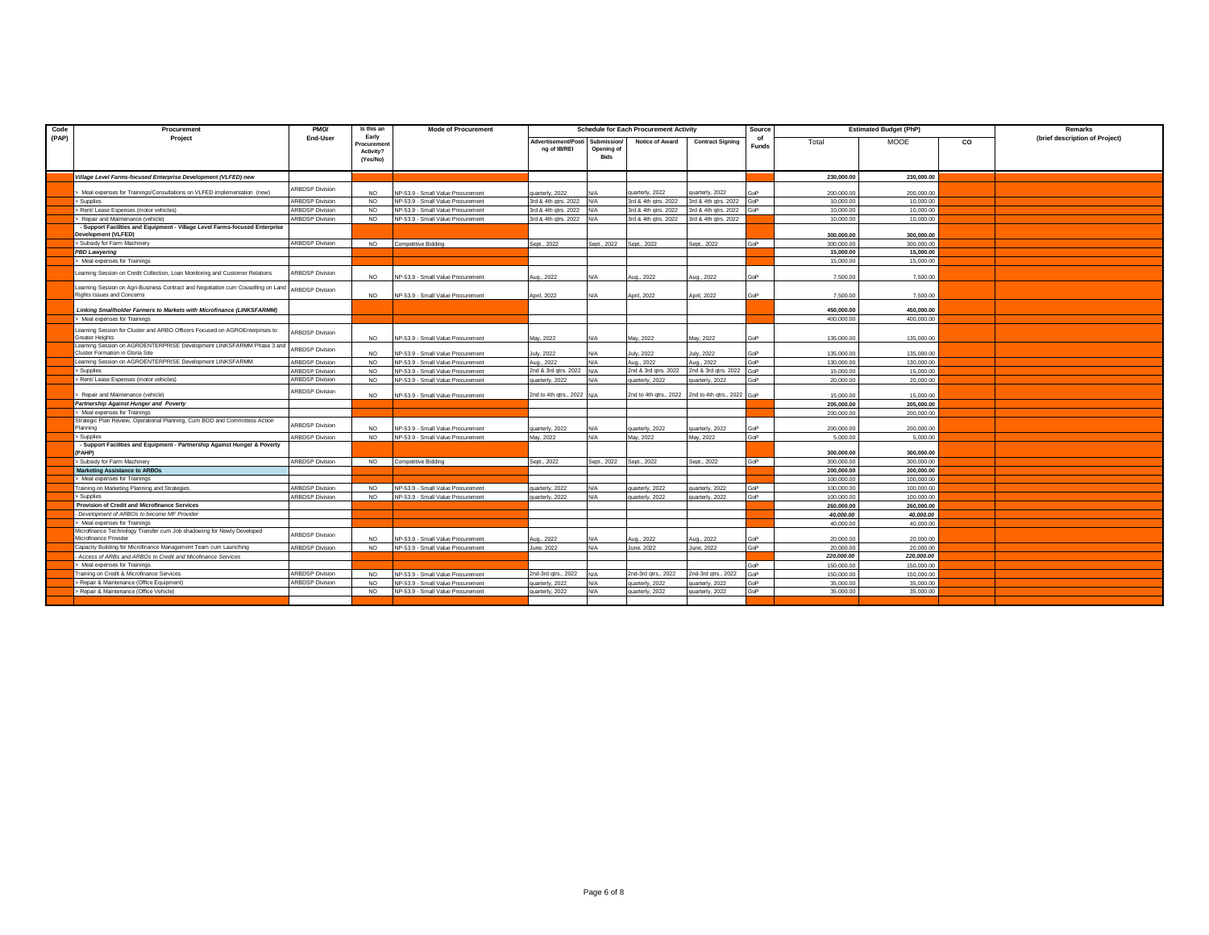| Code  | Procurement                                                                                                     | PMO/                   | Is this an                                   | <b>Mode of Procurement</b>        |                                     |                                          | <b>Schedule for Each Procurement Activity</b> |                            | Source |            | <b>Estimated Budget (PhP)</b> |    | Remarks                        |
|-------|-----------------------------------------------------------------------------------------------------------------|------------------------|----------------------------------------------|-----------------------------------|-------------------------------------|------------------------------------------|-----------------------------------------------|----------------------------|--------|------------|-------------------------------|----|--------------------------------|
| (PAP) | Project                                                                                                         | End-User               | Early<br>Procuremen<br>Activity?<br>(Yes/No) |                                   | Advertisement/Posti<br>ng of IB/REI | Submission/<br>Opening of<br><b>Bids</b> | Notice of Award                               | <b>Contract Signing</b>    | Funds  | Total      | <b>MOOE</b>                   | CO | (brief description of Project) |
|       | Village Level Farms-focused Enterprise Development (VLFED) new                                                  |                        |                                              |                                   |                                     |                                          |                                               |                            |        | 230,000.00 | 230,000.00                    |    |                                |
|       | Meal expenses for Trainings/Consultations on VLFED implementation (new)                                         | <b>ARBDSP Division</b> | NO.                                          | NP-53.9 - Small Value Procurement | quarterly, 2022                     |                                          | uarterly, 2022                                | uarterly, 2022             |        | 200,000.00 | 200,000.00                    |    |                                |
|       | > Supplies                                                                                                      | <b>ARBDSP Division</b> | NO.                                          | NP-53.9 - Small Value Procurement | 3rd & 4th gtrs. 2022                | N/A                                      | 3rd & 4th gtrs. 2022                          | 3rd & 4th gtrs. 2022       | GoP    | 10,000.00  | 10,000.00                     |    |                                |
|       | > Rent/ Lease Expenses (motor vehicles)                                                                         | <b>ARBDSP Division</b> | NO.                                          | NP-53.9 - Small Value Procurement | 3rd & 4th qtrs. 2022                | N/2                                      | 3rd & 4th qtrs. 2022                          | 3rd & 4th qtrs. 2022       | GoP    | 10,000.00  | 10,000.00                     |    |                                |
|       | Repair and Maintenance (vehicle)                                                                                | <b>ARBDSP Division</b> | NO.                                          | NP-53.9 - Small Value Procurement | 3rd & 4th qtrs. 2022                | N/A                                      | 3rd & 4th gtrs. 2022                          | 3rd & 4th gtrs. 2022       |        | 10,000.00  | 10,000.00                     |    |                                |
|       | - Support Facilities and Equipment - Village Level Farms-focused Enterprise<br><b>Development (VLFED)</b>       |                        |                                              |                                   |                                     |                                          |                                               |                            |        | 300.000.00 | 300.000.00                    |    |                                |
|       | > Subsidy for Farm Machinery                                                                                    | <b>ARBDSP Division</b> | <b>NO</b>                                    | <b>Competitive Bidding</b>        | Sept., 2022                         | Sept., 2022                              | Sept., 2022                                   | Sept., 2022                | GoP    | 300,000.00 | 300,000.00                    |    |                                |
|       | <b>PBD Lawyering</b>                                                                                            |                        |                                              |                                   |                                     |                                          |                                               |                            |        | 15,000,00  | 15,000,00                     |    |                                |
|       | > Meal expenses for Trainings                                                                                   |                        |                                              |                                   |                                     |                                          |                                               |                            |        | 15,000.00  | 15,000.00                     |    |                                |
|       | Learning Session on Credit Collection, Loan Monitoring and Customer Relations                                   | <b>ARBDSP Division</b> | <b>NO</b>                                    | NP-53.9 - Small Value Procurement | Aug., 2022                          | N/A                                      | ug., 2022                                     | Aug., 2022                 | GoP    | 7,500.00   | 7,500.00                      |    |                                |
|       | Learning Session on Agri-Business Contract and Negotiation cum Couselling on Land<br>Rights Issues and Concerns | <b>ARBDSP Division</b> | NO.                                          | NP-53.9 - Small Value Procurement | April, 2022                         | N/A                                      | April, 2022                                   | April, 2022                | GoP    | 7,500.00   | 7,500.00                      |    |                                |
|       | Linking Smallholder Farmers to Markets with Microfinance (LINKSFARMM)                                           |                        |                                              |                                   |                                     |                                          |                                               |                            |        | 450,000,00 | 450.000.00                    |    |                                |
|       | > Meal expenses for Trainings                                                                                   |                        |                                              |                                   |                                     |                                          |                                               |                            |        | 400,000.00 | 400.000.00                    |    |                                |
|       | Learning Session for Cluster and ARBO Officers Focused on AGROEnterprises to<br><b>Greater Heights</b>          | <b>ARBDSP Division</b> | <b>NO</b>                                    | NP-53.9 - Small Value Procurement | May, 2022                           | N/A                                      | May, 2022                                     | May, 2022                  | GoP    | 135,000.0  | 135,000.00                    |    |                                |
|       | Learning Session on AGROENTERPRISE Development LINKSFARMM Phase 3 and<br>Cluster Formation in Gloria Site       | <b>ARBDSP Division</b> | NO.                                          | NP-53.9 - Small Value Procurement | July, 2022                          | N/A                                      | luly, 2022                                    | July, 2022                 | GoP    | 135,000.00 | 135,000.00                    |    |                                |
|       | Learning Session on AGROENTERPRISE Development LINKSFARMM                                                       | <b>ARBDSP Division</b> | <b>NO</b>                                    | NP-53.9 - Small Value Procurement | Aug., 2022                          | N/A                                      | Aug., 2022                                    | Aug., 2022                 | GoP    | 130,000.00 | 130,000.00                    |    |                                |
|       | > Supplies                                                                                                      | <b>ARBDSP Division</b> | NO.                                          | NP-53.9 - Small Value Procurement | 2nd & 3rd gtrs. 2022                | N/A                                      | 2nd & 3rd gtrs. 2022                          | 2nd & 3rd gtrs. 2022       | GoP    | 15,000.00  | 15,000.00                     |    |                                |
|       | > Rent/ Lease Expenses (motor vehicles)                                                                         | <b>ARBDSP Division</b> | <b>NO</b>                                    | NP-53.9 - Small Value Procurement | quarterly, 2022                     | N/A                                      | juarterly, 2022                               | uarterly, 2022             | GoP    | 20,000.00  | 20,000.00                     |    |                                |
|       | Repair and Maintenance (vehicle)                                                                                | <b>ARBDSP Division</b> | <b>NO</b>                                    | NP-53.9 - Small Value Procurement | 2nd to 4th qtrs., 2022              |                                          | 2nd to 4th qtrs., 2022                        | 2nd to 4th qtrs., 2022 GoP |        | 15,000.00  | 15,000.00                     |    |                                |
|       | <b>Partnership Against Hunger and Poverty</b>                                                                   |                        |                                              |                                   |                                     |                                          |                                               |                            |        | 205.000.00 | 205.000.00                    |    |                                |
|       | Meal expenses for Trainings                                                                                     |                        |                                              |                                   |                                     |                                          |                                               |                            |        | 200,000.00 | 200,000.00                    |    |                                |
|       | Strategic Plan Review, Operational Planning, Cum BOD and Committess Action<br>Planning                          | <b>ARBDSP Division</b> | NO.                                          | NP-53.9 - Small Value Procurement | quarterly, 2022                     | N/A                                      | quarterly, 2022                               | uarterly, 2022             | GoP    | 200,000.00 | 200.000.00                    |    |                                |
|       | > Supplies                                                                                                      | <b>ARBDSP Division</b> | <b>NO</b>                                    | NP-53.9 - Small Value Procurement | May, 2022                           | N/A                                      | May, 2022                                     | May, 2022                  | GoP    | 5,000.00   | 5,000.00                      |    |                                |
|       | - Support Facilities and Equipment - Partnership Against Hunger & Poverty<br>(PAHP)                             |                        |                                              |                                   |                                     |                                          |                                               |                            |        | 300,000,00 | 300.000.00                    |    |                                |
|       | > Subsidy for Farm Machinery                                                                                    | <b>ARBDSP Division</b> | NO.                                          | <b>Competitive Bidding</b>        | Sept., 2022                         | Sept., 2022                              | Sept., 2022                                   | Sept., 2022                | GoP    | 300,000.00 | 300,000.00                    |    |                                |
|       | <b>Marketing Assistance to ARBOs</b>                                                                            |                        |                                              |                                   |                                     |                                          |                                               |                            |        | 200.000.00 | 200.000.00                    |    |                                |
|       | > Meal expenses for Trainings                                                                                   |                        |                                              |                                   |                                     |                                          |                                               |                            |        | 100,000.00 | 100,000.00                    |    |                                |
|       | <b>Training on Marketing Planning and Strategies</b>                                                            | <b>ARBDSP Division</b> | NO.                                          | NP-53.9 - Small Value Procurement | quarterly, 2022                     | N/A                                      | quarterly, 2022                               | uarterly, 2022             | GoP    | 100,000.0  | 100,000.00                    |    |                                |
|       | > Supplies                                                                                                      | <b>ARBDSP Division</b> | NO.                                          | NP-53.9 - Small Value Procurement | quarterly, 2022                     | N/A                                      | quarterly, 2022                               | juarterly, 2022            | GoP    | 100,000.00 | 100,000.00                    |    |                                |
|       | Provision of Credit and Microfinance Services                                                                   |                        |                                              |                                   |                                     |                                          |                                               |                            |        | 260,000,00 | 260.000.00                    |    |                                |
|       | Development of ARBOs to become MF Provider                                                                      |                        |                                              |                                   |                                     |                                          |                                               |                            |        | 40.000.00  | 40.000.00                     |    |                                |
|       | > Meal expenses for Trainings                                                                                   |                        |                                              |                                   |                                     |                                          |                                               |                            |        | 40.000.00  | 40,000.00                     |    |                                |
|       | Microfinance Technology Transfer cum Job shadowing for Newly Developed<br>Microfinance Provider                 | <b>ARBDSP Division</b> | NO.                                          | NP-53.9 - Small Value Procurement | Aug., 2022                          | N/A                                      | ug., 2022                                     | ug., 2022                  | GoP    | 20,000.00  | 20,000.00                     |    |                                |
|       | Capacity Building for Microfinance Management Team cum Launching                                                | <b>ARBDSP Division</b> | NO.                                          | NP-53.9 - Small Value Procurement | June, 2022                          | N/A                                      | June, 2022                                    | June, 2022                 | GoP    | 20,000.00  | 20,000.00                     |    |                                |
|       | Access of ARBs and ARBOs to Credit and Micofinance Services                                                     |                        |                                              |                                   |                                     |                                          |                                               |                            |        | 220,000.00 | 220,000.00                    |    |                                |
|       | Meal expenses for Trainings                                                                                     |                        |                                              |                                   |                                     |                                          |                                               |                            | GoP    | 150,000.00 | 150,000.00                    |    |                                |
|       | Fraining on Credit & Microfinance Services                                                                      | <b>ARBDSP Division</b> | N <sub>O</sub>                               | NP-53.9 - Small Value Procurement | 2nd-3rd gtrs., 2022                 |                                          | 2nd-3rd gtrs., 2022                           | 2nd-3rd qtrs., 2022        | GoP    | 150,000.0  | 150,000.00                    |    |                                |
|       | > Repair & Maintenance (Office Equipment)                                                                       | <b>ARBDSP Division</b> | <b>NO</b>                                    | NP-53.9 - Small Value Procurement | quarterly, 2022                     | N/A                                      | quarterly, 2022                               | uarterly, 2022             | GoP    | 35,000.00  | 35,000.00                     |    |                                |
|       | > Repair & Maintenance (Office Vehicle)                                                                         |                        | NO.                                          | NP-53.9 - Small Value Procurement | quarterly, 2022                     | N/A                                      | quarterly, 2022                               | Jarterly, 2022             | GoP    | 35,000.00  | 35,000.00                     |    |                                |
|       |                                                                                                                 |                        |                                              |                                   |                                     |                                          |                                               |                            |        |            |                               |    |                                |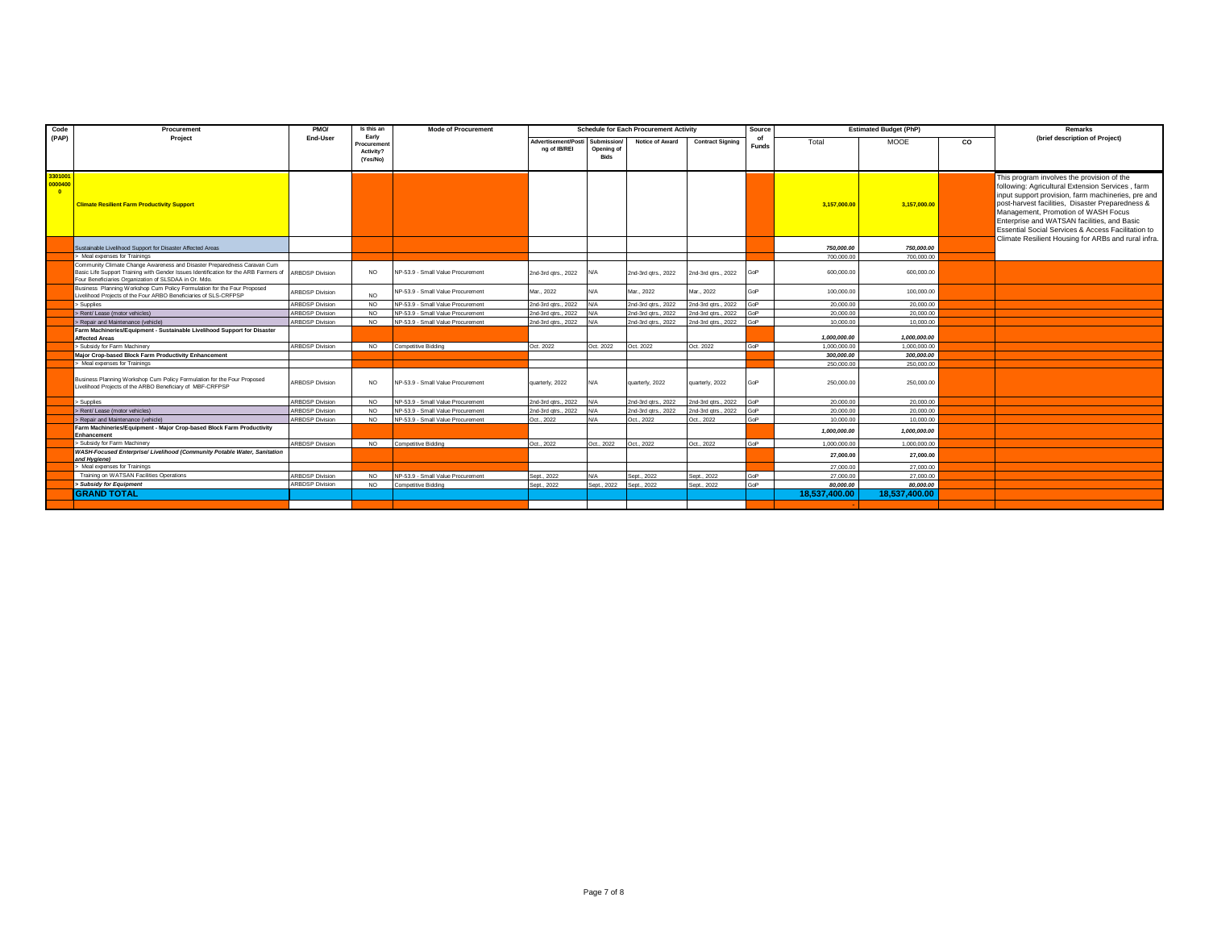| Code               | Procurement                                                                                                                                                                                                               | PMO/                   | Is this an                                    | <b>Mode of Procurement</b>        |                                     |                                          | <b>Schedule for Each Procurement Activity</b> |                         | Source             |               | <b>Estimated Budget (PhP)</b> |    | Remarks                                                                                                                                                                                                                                                                                                                                                                                                               |
|--------------------|---------------------------------------------------------------------------------------------------------------------------------------------------------------------------------------------------------------------------|------------------------|-----------------------------------------------|-----------------------------------|-------------------------------------|------------------------------------------|-----------------------------------------------|-------------------------|--------------------|---------------|-------------------------------|----|-----------------------------------------------------------------------------------------------------------------------------------------------------------------------------------------------------------------------------------------------------------------------------------------------------------------------------------------------------------------------------------------------------------------------|
| (PAP)              | Project                                                                                                                                                                                                                   | End-User               | Early<br>Procurement<br>Activity?<br>(Yes/No) |                                   | Advertisement/Posti<br>ng of IB/REI | Submission/<br>Opening of<br><b>Bids</b> | Notice of Award                               | <b>Contract Signing</b> | of<br><b>Funds</b> | Total         | <b>MOOE</b>                   | CO | (brief description of Project)                                                                                                                                                                                                                                                                                                                                                                                        |
| 3301001<br>0000400 | <b>Climate Resilient Farm Productivity Support</b>                                                                                                                                                                        |                        |                                               |                                   |                                     |                                          |                                               |                         |                    | 3,157,000.00  | 3,157,000.00                  |    | This program involves the provision of the<br>following: Agricultural Extension Services, farm<br>input support provision, farm machineries, pre and<br>post-harvest facilities, Disaster Preparedness &<br>Management, Promotion of WASH Focus<br>Enterprise and WATSAN facilities, and Basic<br><b>Essential Social Services &amp; Access Facilitation to</b><br>Climate Resilient Housing for ARBs and rural infra |
|                    | Sustainable Livelihood Support for Disaster Affected Areas                                                                                                                                                                |                        |                                               |                                   |                                     |                                          |                                               |                         |                    | 750,000,00    | 750,000,00                    |    |                                                                                                                                                                                                                                                                                                                                                                                                                       |
|                    | > Meal expenses for Trainings                                                                                                                                                                                             |                        |                                               |                                   |                                     |                                          |                                               |                         |                    | 700,000.00    | 700,000.00                    |    |                                                                                                                                                                                                                                                                                                                                                                                                                       |
|                    | Community Climate Change Awareness and Disaster Preparedness Caravan Cum<br>Basic Life Support Training with Gender Issues Identification for the ARB Farmers of<br>Four Beneficiaries Organization of SLSDAA in Or. Mdo. | <b>ARBDSP Division</b> | <b>NO</b>                                     | NP-53.9 - Small Value Procurement | 2nd-3rd gtrs., 2022                 | N/A                                      | 2nd-3rd gtrs., 2022                           | 2nd-3rd qtrs., 2022     |                    | 600,000.00    | 600,000.00                    |    |                                                                                                                                                                                                                                                                                                                                                                                                                       |
|                    | Business Planning Workshop Cum Policy Formulation for the Four Proposed<br>Livelihood Projects of the Four ARBO Beneficiaries of SLS-CRFPSP                                                                               | RBDSP Division         | NO.                                           | NP-53.9 - Small Value Procurement | Mar., 2022                          | N/A                                      | Mar., 2022                                    | Mar., 2022              |                    | 100,000.00    | 100,000.00                    |    |                                                                                                                                                                                                                                                                                                                                                                                                                       |
|                    | Supplies                                                                                                                                                                                                                  | <b>ARBDSP Division</b> | NO.                                           | NP-53.9 - Small Value Procurement | 2nd-3rd atrs., 2022                 | N/A                                      | 2nd-3rd atrs., 2022                           | 2nd-3rd atrs., 2022     | GoP                | 20,000.00     | 20,000.00                     |    |                                                                                                                                                                                                                                                                                                                                                                                                                       |
|                    | > Rent/ Lease (motor vehicles)                                                                                                                                                                                            | <b>ARBDSP Division</b> | N <sub>O</sub>                                | NP-53.9 - Small Value Procurement | 2nd-3rd atrs., 2022                 | N/A                                      | 2nd-3rd gtrs., 2022                           | 2nd-3rd atrs., 2022     | GoP                | 20,000.00     | 20,000.00                     |    |                                                                                                                                                                                                                                                                                                                                                                                                                       |
|                    | > Repair and Maintenance (vehicle)                                                                                                                                                                                        | <b>ARBDSP Division</b> | NO.                                           | NP-53.9 - Small Value Procurement | 2nd-3rd atrs., 2022                 | N/A                                      | 2nd-3rd gtrs., 2022                           | 2nd-3rd gtrs., 2022     | GoP                | 10,000.00     | 10,000.00                     |    |                                                                                                                                                                                                                                                                                                                                                                                                                       |
|                    | Farm Machineries/Equipment - Sustainable Livelihood Support for Disaster<br><b>Affected Areas</b>                                                                                                                         |                        |                                               |                                   |                                     |                                          |                                               |                         |                    | 1.000.000.00  | 1.000.000.00                  |    |                                                                                                                                                                                                                                                                                                                                                                                                                       |
|                    | > Subsidy for Farm Machinery                                                                                                                                                                                              | <b>ARBDSP Division</b> | NO.                                           | <b>Competitive Bidding</b>        | Oct. 2022                           | Oct. 2022                                | Oct. 2022                                     | Oct. 2022               | GoP                | 1.000.000.00  | 1.000.000.00                  |    |                                                                                                                                                                                                                                                                                                                                                                                                                       |
|                    | Maior Crop-based Block Farm Productivity Enhancement                                                                                                                                                                      |                        |                                               |                                   |                                     |                                          |                                               |                         |                    | 300.000.00    | 300,000,00                    |    |                                                                                                                                                                                                                                                                                                                                                                                                                       |
|                    | > Meal expenses for Trainings                                                                                                                                                                                             |                        |                                               |                                   |                                     |                                          |                                               |                         |                    | 250,000.00    | 250,000.00                    |    |                                                                                                                                                                                                                                                                                                                                                                                                                       |
|                    | Business Planning Workshop Cum Policy Formulation for the Four Proposed<br>Livelihood Projects of the ARBO Beneficiary of MBF-CRFPSP                                                                                      | RBDSP Division         | NO.                                           | NP-53.9 - Small Value Procurement | quarterly, 2022                     | N/A                                      | quarterly, 2022                               | quarterly, 2022         | GoP                | 250,000.00    | 250,000.00                    |    |                                                                                                                                                                                                                                                                                                                                                                                                                       |
|                    | > Supplies                                                                                                                                                                                                                | <b>ARBDSP Division</b> | NO.                                           | NP-53 9 - Small Value Procurement | 2nd-3rd atrs., 2022                 | N/A                                      | 2nd-3rd atrs., 2022                           | 2nd-3rd atrs., 2022     | GoP                | 20,000.00     | 20,000.00                     |    |                                                                                                                                                                                                                                                                                                                                                                                                                       |
|                    | > Rent/ Lease (motor vehicles)                                                                                                                                                                                            | <b>ARBDSP Division</b> | <b>NO</b>                                     | NP-53.9 - Small Value Procurement | 2nd-3rd atrs., 2022                 | N/A                                      | 2nd-3rd atrs., 2022                           | 2nd-3rd atrs., 2022     | GoP                | 20,000.00     | 20,000.00                     |    |                                                                                                                                                                                                                                                                                                                                                                                                                       |
|                    | > Repair and Maintenance (vehicle)                                                                                                                                                                                        | <b>ARBDSP Division</b> | NO.                                           | NP-53.9 - Small Value Procurement | Oct. 2022                           | N/A                                      | Oct., 2022                                    | Oct., 2022              | GoP                | 10,000.00     | 10,000.00                     |    |                                                                                                                                                                                                                                                                                                                                                                                                                       |
|                    | Farm Machineries/Equipment - Major Crop-based Block Farm Productivity<br>Enhancement                                                                                                                                      |                        |                                               |                                   |                                     |                                          |                                               |                         |                    | 1,000,000.00  | 1,000,000.00                  |    |                                                                                                                                                                                                                                                                                                                                                                                                                       |
|                    | > Subsidy for Farm Machinery                                                                                                                                                                                              | <b>ARBDSP Division</b> | <b>NO</b>                                     | Competitive Bidding               | Oct., 2022                          | Oct., 2022                               | Oct., 2022                                    | Oct., 2022              | GoP                | 1.000.000.00  | 1.000.000.00                  |    |                                                                                                                                                                                                                                                                                                                                                                                                                       |
|                    | WASH-Focused Enterprise/ Livelihood (Community Potable Water, Sanitation<br>and Hygiene)                                                                                                                                  |                        |                                               |                                   |                                     |                                          |                                               |                         |                    | 27.000.00     | 27.000.00                     |    |                                                                                                                                                                                                                                                                                                                                                                                                                       |
|                    | > Meal expenses for Trainings                                                                                                                                                                                             |                        |                                               |                                   |                                     |                                          |                                               |                         |                    | 27,000.00     | 27,000.00                     |    |                                                                                                                                                                                                                                                                                                                                                                                                                       |
|                    | Training on WATSAN Facilities Operations                                                                                                                                                                                  | <b>ARBDSP Division</b> | NO.                                           | NP-53.9 - Small Value Procurement | Sept., 2022                         | N/A                                      | Sept., 2022                                   | Sept., 2022             | GoP                | 27,000.00     | 27,000.00                     |    |                                                                                                                                                                                                                                                                                                                                                                                                                       |
|                    | > Subsidy for Equipment                                                                                                                                                                                                   | <b>ARBDSP Division</b> | <b>NO</b>                                     | Competitive Bidding               | Sept., 2022                         | Sept., 2022                              | Sept., 2022                                   | Sept., 2022             | GoP                | 80.000.00     | 80,000,00                     |    |                                                                                                                                                                                                                                                                                                                                                                                                                       |
|                    | <b>GRAND TOTAL</b>                                                                                                                                                                                                        |                        |                                               |                                   |                                     |                                          |                                               |                         |                    | 18.537.400.00 | 18.537.400.00                 |    |                                                                                                                                                                                                                                                                                                                                                                                                                       |
|                    |                                                                                                                                                                                                                           |                        |                                               |                                   |                                     |                                          |                                               |                         |                    |               |                               |    |                                                                                                                                                                                                                                                                                                                                                                                                                       |